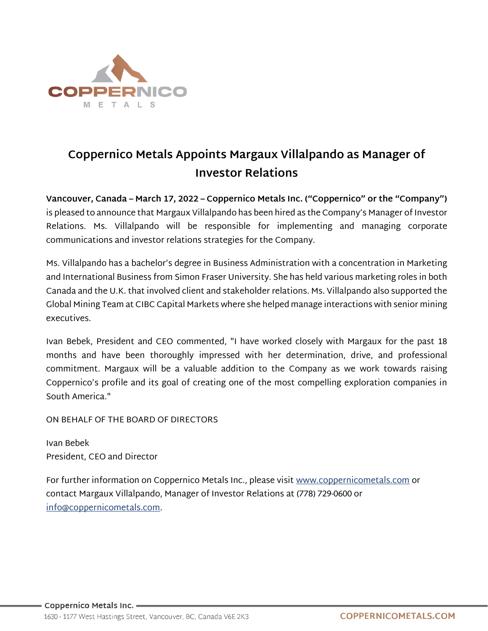

## **Coppernico Metals Appoints Margaux Villalpando as Manager of Investor Relations**

**Vancouver, Canada – March 17, 2022 – Coppernico Metals Inc. ("Coppernico" or the "Company")** is pleased to announce that Margaux Villalpando has been hired as the Company's Manager of Investor Relations. Ms. Villalpando will be responsible for implementing and managing corporate communications and investor relations strategies for the Company.

Ms. Villalpando has a bachelor's degree in Business Administration with a concentration in Marketing and International Business from Simon Fraser University. She has held various marketing roles in both Canada and the U.K. that involved client and stakeholder relations. Ms. Villalpando also supported the Global Mining Team at CIBC Capital Markets where she helped manage interactions with senior mining executives.

Ivan Bebek, President and CEO commented, "I have worked closely with Margaux for the past 18 months and have been thoroughly impressed with her determination, drive, and professional commitment. Margaux will be a valuable addition to the Company as we work towards raising Coppernico's profile and its goal of creating one of the most compelling exploration companies in South America."

ON BEHALF OF THE BOARD OF DIRECTORS

Ivan Bebek President, CEO and Director

For further information on Coppernico Metals Inc., please visit [www.coppernicometals.com](http://www.coppernicometals.com/) or contact Margaux Villalpando, Manager of Investor Relations at (778) 729-0600 or [info@coppernicometals.com.](mailto:info@coppernicometals.com)